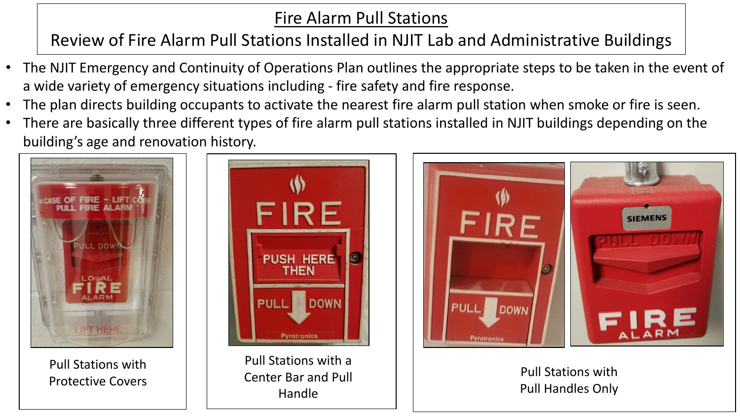# Fire Alarm Pull Stations

# Review of Fire Alarm Pull Stations Installed in NJIT Lab and Administrative Buildings

- The NJIT Emergency and Continuity of Operations Plan outlines the appropriate steps to be taken in the event of a wide variety of emergency situations including - fire safety and fire response.
- The plan directs building occupants to activate the nearest fire alarm pull station when smoke or fire is seen.
- There are basically three different types of fire alarm pull stations installed in NJIT buildings depending on the building's age and renovation history.



Pull Stations with Protective Covers



Pull Stations with a Center Bar and Pull Handle



### Pull Stations with Pull Handles Only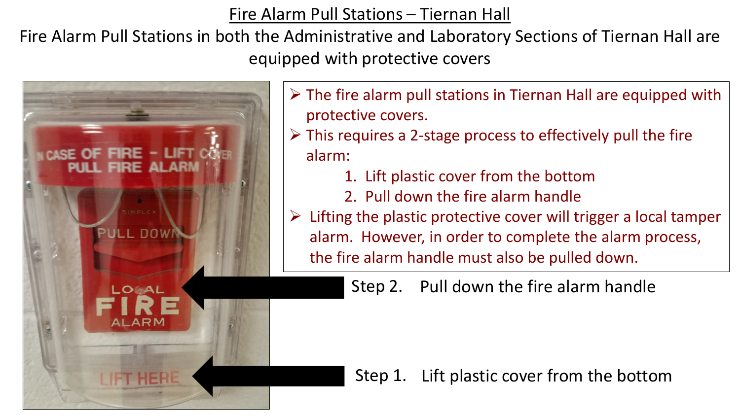Fire Alarm Pull Stations – Tiernan Hall

Fire Alarm Pull Stations in both the Administrative and Laboratory Sections of Tiernan Hall are equipped with protective covers



- $\triangleright$  The fire alarm pull stations in Tiernan Hall are equipped with protective covers.
- $\triangleright$  This requires a 2-stage process to effectively pull the fire alarm:
	- 1. Lift plastic cover from the bottom
	- 2. Pull down the fire alarm handle
- $\triangleright$  Lifting the plastic protective cover will trigger a local tamper alarm. However, in order to complete the alarm process, the fire alarm handle must also be pulled down.

Step 2. Pull down the fire alarm handle

Step 1. Lift plastic cover from the bottom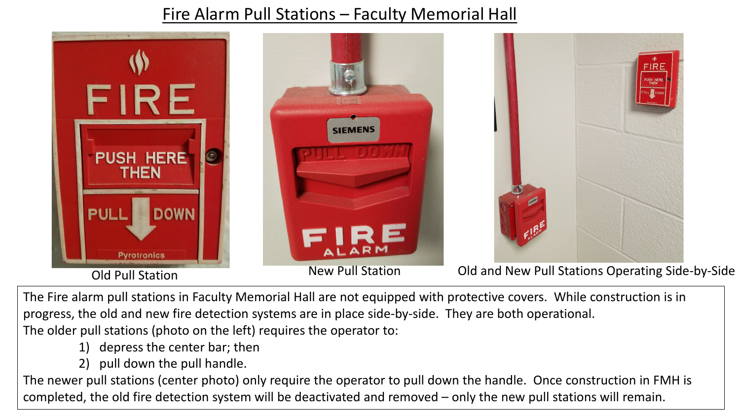# Fire Alarm Pull Stations – Faculty Memorial Hall



The Fire alarm pull stations in Faculty Memorial Hall are not equipped with protective covers. While construction is in progress, the old and new fire detection systems are in place side-by-side. They are both operational. The older pull stations (photo on the left) requires the operator to:

- 1) depress the center bar; then
- 2) pull down the pull handle.

The newer pull stations (center photo) only require the operator to pull down the handle. Once construction in FMH is completed, the old fire detection system will be deactivated and removed – only the new pull stations will remain.